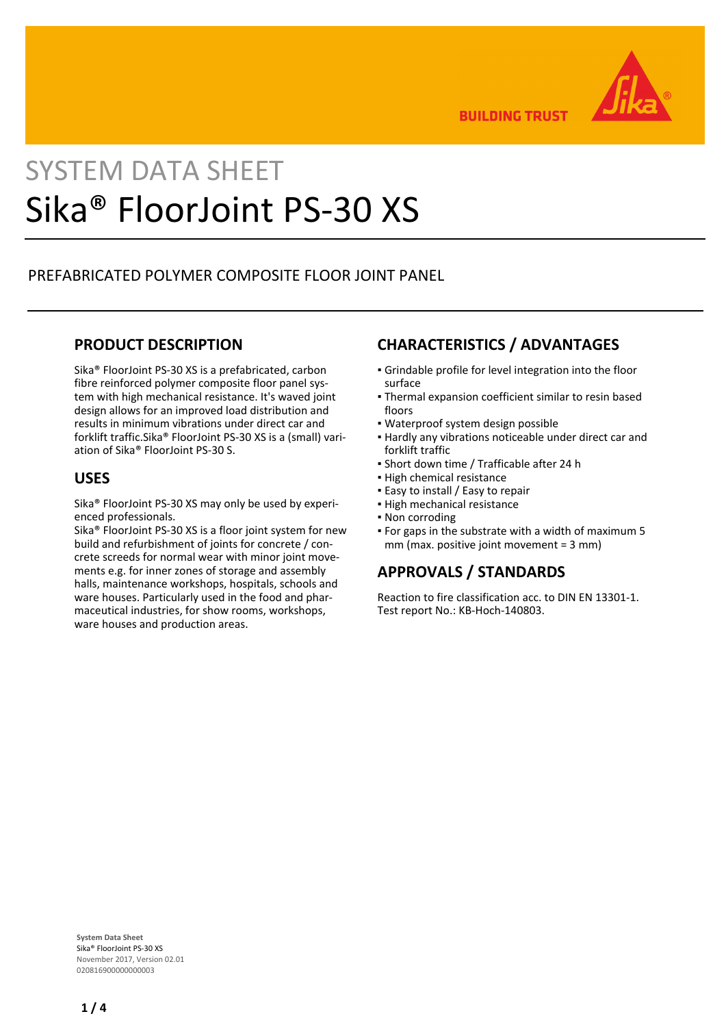

**BUILDING TRUST** 

# SYSTEM DATA SHEET Sika® FloorJoint PS-30 XS

# PREFABRICATED POLYMER COMPOSITE FLOOR JOINT PANEL

# **PRODUCT DESCRIPTION**

Sika® FloorJoint PS-30 XS is a prefabricated, carbon fibre reinforced polymer composite floor panel system with high mechanical resistance. It's waved joint design allows for an improved load distribution and results in minimum vibrations under direct car and forklift traffic.Sika® FloorJoint PS-30 XS is a (small) variation of Sika® FloorJoint PS-30 S.

# **USES**

Sika® FloorJoint PS-30 XS may only be used by experienced professionals.

Sika<sup>®</sup> FloorJoint PS-30 XS is a floor joint system for new build and refurbishment of joints for concrete / concrete screeds for normal wear with minor joint movements e.g. for inner zones of storage and assembly halls, maintenance workshops, hospitals, schools and ware houses. Particularly used in the food and pharmaceutical industries, for show rooms, workshops, ware houses and production areas.

# **CHARACTERISTICS / ADVANTAGES**

- Grindable profile for level integration into the floor surface
- Thermal expansion coefficient similar to resin based floors
- Waterproof system design possible
- Hardly any vibrations noticeable under direct car and forklift traffic
- Short down time / Trafficable after 24 h
- **.** High chemical resistance
- **Easy to install / Easy to repair**
- High mechanical resistance
- Non corroding
- For gaps in the substrate with a width of maximum 5 mm (max. positive joint movement = 3 mm)

# **APPROVALS / STANDARDS**

Reaction to fire classification acc. to DIN EN 13301-1. Test report No.: KB-Hoch-140803.

**System Data Sheet** Sika® FloorJoint PS-30 XS November 2017, Version 02.01 020816900000000003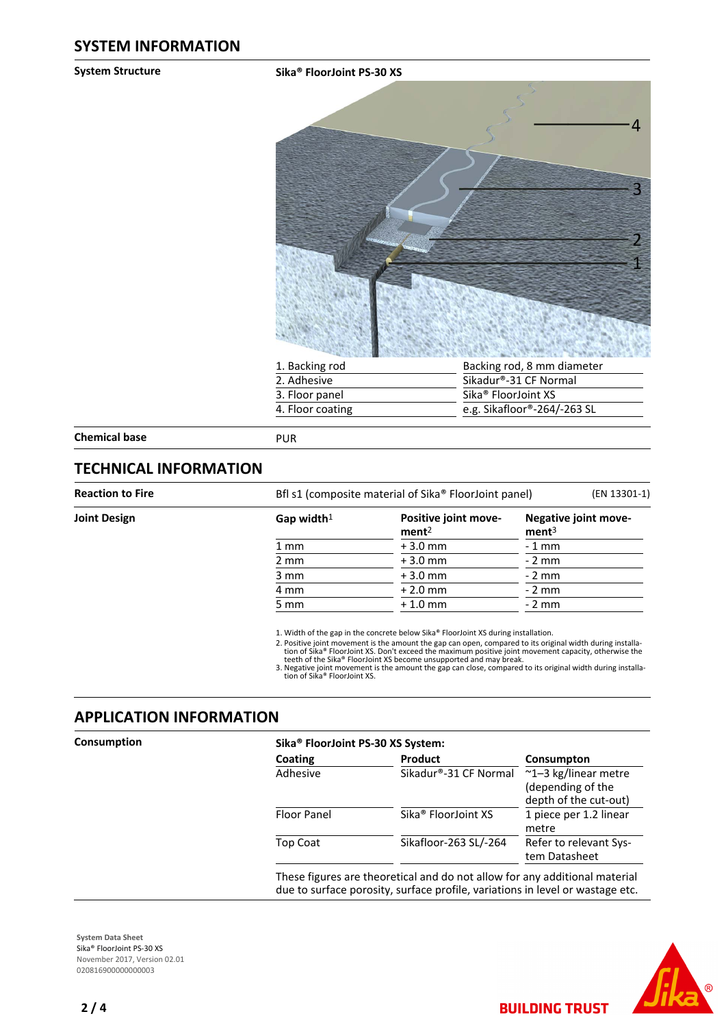#### **System Structure Sika® FloorJoint PS-30 XS**



| 1. Backing rod   | Backing rod, 8 mm diameter      |
|------------------|---------------------------------|
| 2. Adhesive      | Sikadur®-31 CF Normal           |
| 3. Floor panel   | Sika <sup>®</sup> FloorJoint XS |
| 4. Floor coating | e.g. Sikafloor®-264/-263 SL     |
|                  |                                 |

**Chemical base** PUR

# **TECHNICAL INFORMATION**

| Bfl s1 (composite material of Sika® FloorJoint panel)<br>(EN 13301-1) |                                           |                                           |                | <b>Reaction to Fire</b> |  |  |  |
|-----------------------------------------------------------------------|-------------------------------------------|-------------------------------------------|----------------|-------------------------|--|--|--|
|                                                                       | Negative joint move-<br>ment <sup>3</sup> | Positive joint move-<br>ment <sup>2</sup> | Gap width $1$  | <b>Joint Design</b>     |  |  |  |
|                                                                       | - 1 mm                                    | $+3.0$ mm                                 | $1 \text{ mm}$ |                         |  |  |  |
|                                                                       | - 2 mm                                    | $+3.0$ mm                                 | $2 \text{ mm}$ |                         |  |  |  |
|                                                                       | - 2 mm                                    | $+3.0$ mm                                 | 3 mm           |                         |  |  |  |
|                                                                       | - 2 mm                                    | $+2.0$ mm                                 | 4 mm           |                         |  |  |  |
|                                                                       | - 2 mm                                    | $+1.0$ mm                                 | 5 mm           |                         |  |  |  |
|                                                                       |                                           |                                           |                |                         |  |  |  |

Positive joint movement is the amount the gap can open, compared to its original width during installa-<br>tion of Sika® FloorJoint XS. Don't exceed the maximum positive joint movement capacity, otherwise the<br>teeth of the Sik 2.

3. Negative joint movement is the amount the gap can close, compared to its original width during installa-<br>tion of Sika® FloorJoint XS.

# **APPLICATION INFORMATION**

| Product<br>Coating<br>Sikadur®-31 CF Normal<br>Adhesive | Consumpton<br>~1-3 kg/linear metre                                                                    |
|---------------------------------------------------------|-------------------------------------------------------------------------------------------------------|
|                                                         |                                                                                                       |
|                                                         | (depending of the<br>depth of the cut-out)                                                            |
| Sika <sup>®</sup> FloorJoint XS                         | 1 piece per 1.2 linear<br>metre                                                                       |
| Sikafloor-263 SL/-264                                   | Refer to relevant Sys-<br>tem Datasheet                                                               |
|                                                         | Floor Panel<br>Top Coat<br>These figures are theoretical and do not allow for any additional material |

**BUILDING TRUST** 

**System Data Sheet** Sika® FloorJoint PS-30 XS November 2017, Version 02.01 020816900000000003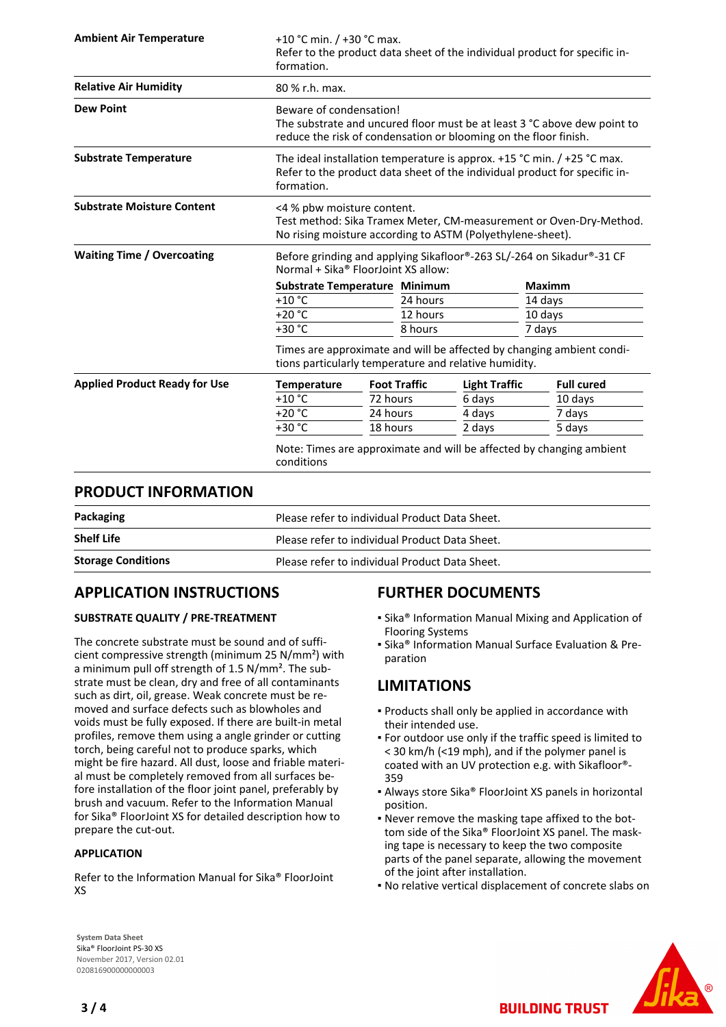| formation.                                                                                                                                                     | +10 °C min. $/$ +30 °C max.<br>Refer to the product data sheet of the individual product for specific in-                                                               |          |                                                         |                               |                      |
|----------------------------------------------------------------------------------------------------------------------------------------------------------------|-------------------------------------------------------------------------------------------------------------------------------------------------------------------------|----------|---------------------------------------------------------|-------------------------------|----------------------|
| 80 % r.h. max.                                                                                                                                                 |                                                                                                                                                                         |          |                                                         |                               |                      |
|                                                                                                                                                                | Beware of condensation!<br>The substrate and uncured floor must be at least 3 °C above dew point to<br>reduce the risk of condensation or blooming on the floor finish. |          |                                                         |                               |                      |
| formation.                                                                                                                                                     | The ideal installation temperature is approx. $+15$ °C min. / $+25$ °C max.<br>Refer to the product data sheet of the individual product for specific in-               |          |                                                         |                               |                      |
| <4 % pbw moisture content.<br>Test method: Sika Tramex Meter, CM-measurement or Oven-Dry-Method.<br>No rising moisture according to ASTM (Polyethylene-sheet). |                                                                                                                                                                         |          |                                                         |                               |                      |
|                                                                                                                                                                | Before grinding and applying Sikafloor®-263 SL/-264 on Sikadur®-31 CF<br>Normal + Sika® FloorJoint XS allow:                                                            |          |                                                         |                               |                      |
|                                                                                                                                                                |                                                                                                                                                                         |          |                                                         | <b>Maximm</b>                 |                      |
| $+10$ °C                                                                                                                                                       |                                                                                                                                                                         | 24 hours |                                                         | 14 days                       |                      |
| $+20 °C$                                                                                                                                                       |                                                                                                                                                                         | 12 hours |                                                         | 10 days                       |                      |
| +30 °C                                                                                                                                                         |                                                                                                                                                                         | 8 hours  |                                                         | 7 days                        |                      |
| Times are approximate and will be affected by changing ambient condi-<br>tions particularly temperature and relative humidity.                                 |                                                                                                                                                                         |          |                                                         |                               |                      |
|                                                                                                                                                                |                                                                                                                                                                         |          |                                                         |                               | <b>Full cured</b>    |
| $+10$ °C                                                                                                                                                       |                                                                                                                                                                         |          | 6 days                                                  |                               | 10 days              |
| $+20 °C$                                                                                                                                                       |                                                                                                                                                                         |          | 4 days                                                  |                               | 7 days               |
| +30 °C                                                                                                                                                         |                                                                                                                                                                         |          | 2 days                                                  |                               | 5 days               |
| conditions                                                                                                                                                     | Note: Times are approximate and will be affected by changing ambient                                                                                                    |          |                                                         |                               |                      |
|                                                                                                                                                                | <b>Temperature</b>                                                                                                                                                      |          | <b>Foot Traffic</b><br>72 hours<br>24 hours<br>18 hours | Substrate Temperature Minimum | <b>Light Traffic</b> |

# **PRODUCT INFORMATION**

| Packaging                 | Please refer to individual Product Data Sheet. |
|---------------------------|------------------------------------------------|
| <b>Shelf Life</b>         | Please refer to individual Product Data Sheet. |
| <b>Storage Conditions</b> | Please refer to individual Product Data Sheet. |

# **APPLICATION INSTRUCTIONS**

## **SUBSTRATE QUALITY / PRE-TREATMENT**

The concrete substrate must be sound and of sufficient compressive strength (minimum 25 N/mm²) with a minimum pull off strength of 1.5 N/mm². The substrate must be clean, dry and free of all contaminants such as dirt, oil, grease. Weak concrete must be removed and surface defects such as blowholes and voids must be fully exposed. If there are built-in metal profiles, remove them using a angle grinder or cutting torch, being careful not to produce sparks, which might be fire hazard. All dust, loose and friable material must be completely removed from all surfaces before installation of the floor joint panel, preferably by brush and vacuum. Refer to the Information Manual for Sika® FloorJoint XS for detailed description how to prepare the cut-out.

### **APPLICATION**

Refer to the Information Manual for Sika® FloorJoint XS

# **FURTHER DOCUMENTS**

- Sika® Information Manual Mixing and Application of Flooring Systems
- **E** Sika® Information Manual Surface Evaluation & Preparation

# **LIMITATIONS**

- Products shall only be applied in accordance with their intended use.
- For outdoor use only if the traffic speed is limited to < 30 km/h (<19 mph), and if the polymer panel is coated with an UV protection e.g. with Sikafloor®- 359
- Always store Sika® FloorJoint XS panels in horizontal position.
- Never remove the masking tape affixed to the bot-▪ tom side of the Sika® FloorJoint XS panel. The masking tape is necessary to keep the two composite parts of the panel separate, allowing the movement of the joint after installation.
- No relative vertical displacement of concrete slabs on

**BUILDING TRUST** 



**System Data Sheet** Sika® FloorJoint PS-30 XS November 2017, Version 02.01 020816900000000003